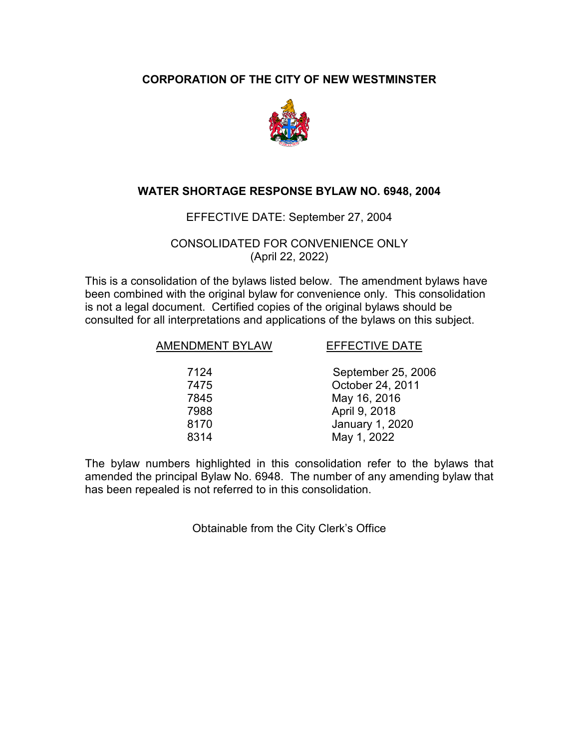## **CORPORATION OF THE CITY OF NEW WESTMINSTER**



### **WATER SHORTAGE RESPONSE BYLAW NO. 6948, 2004**

### EFFECTIVE DATE: September 27, 2004

CONSOLIDATED FOR CONVENIENCE ONLY (April 22, 2022)

This is a consolidation of the bylaws listed below. The amendment bylaws have been combined with the original bylaw for convenience only. This consolidation is not a legal document. Certified copies of the original bylaws should be consulted for all interpretations and applications of the bylaws on this subject.

| <b>AMENDMENT BYLAW</b> | <b>EFFECTIVE DATE</b>  |
|------------------------|------------------------|
| 7124                   | September 25, 2006     |
| 7475                   | October 24, 2011       |
| 7845                   | May 16, 2016           |
| 7988                   | April 9, 2018          |
| 8170                   | <b>January 1, 2020</b> |
| 8314                   | May 1, 2022            |

The bylaw numbers highlighted in this consolidation refer to the bylaws that amended the principal Bylaw No. 6948. The number of any amending bylaw that has been repealed is not referred to in this consolidation.

Obtainable from the City Clerk's Office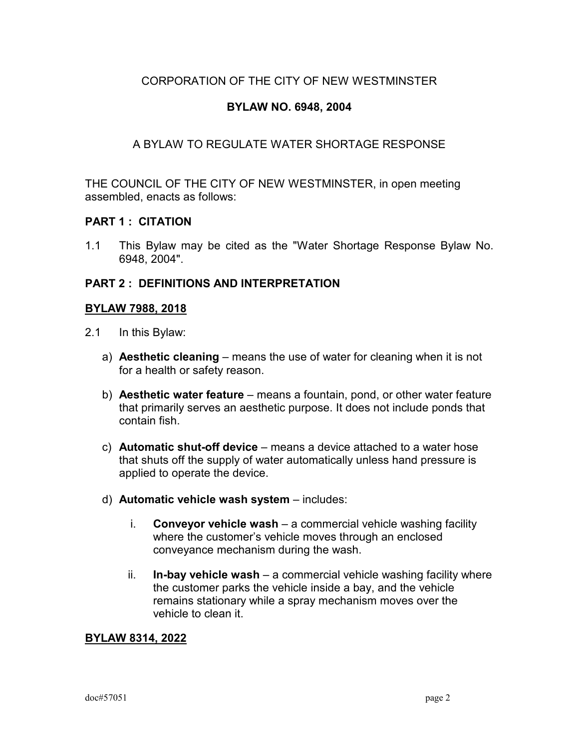### CORPORATION OF THE CITY OF NEW WESTMINSTER

### **BYLAW NO. 6948, 2004**

### A BYLAW TO REGULATE WATER SHORTAGE RESPONSE

THE COUNCIL OF THE CITY OF NEW WESTMINSTER, in open meeting assembled, enacts as follows:

#### **PART 1 : CITATION**

1.1 This Bylaw may be cited as the "Water Shortage Response Bylaw No. 6948, 2004".

#### **PART 2 : DEFINITIONS AND INTERPRETATION**

#### **BYLAW 7988, 2018**

- 2.1 In this Bylaw:
	- a) **Aesthetic cleaning** means the use of water for cleaning when it is not for a health or safety reason.
	- b) **Aesthetic water feature** means a fountain, pond, or other water feature that primarily serves an aesthetic purpose. It does not include ponds that contain fish.
	- c) **Automatic shut-off device** means a device attached to a water hose that shuts off the supply of water automatically unless hand pressure is applied to operate the device.
	- d) **Automatic vehicle wash system** includes:
		- i. **Conveyor vehicle wash**  a commercial vehicle washing facility where the customer's vehicle moves through an enclosed conveyance mechanism during the wash.
		- ii. **In-bay vehicle wash**  a commercial vehicle washing facility where the customer parks the vehicle inside a bay, and the vehicle remains stationary while a spray mechanism moves over the vehicle to clean it.

#### **BYLAW 8314, 2022**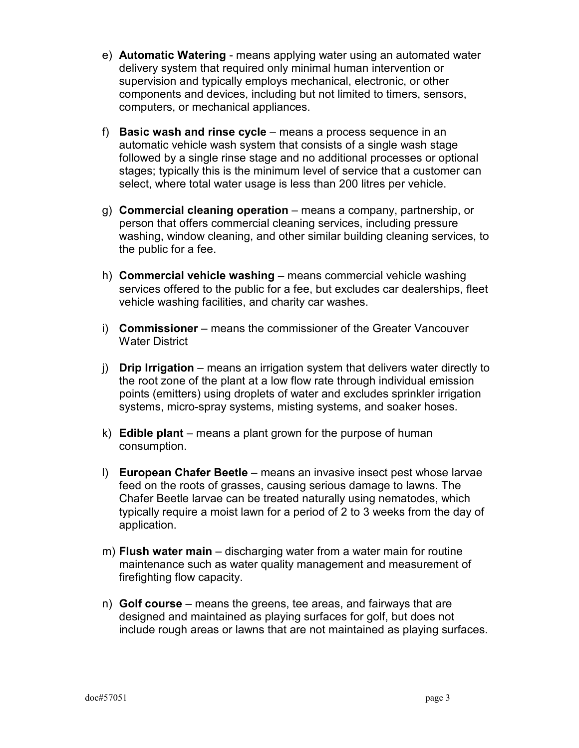- e) **Automatic Watering**  means applying water using an automated water delivery system that required only minimal human intervention or supervision and typically employs mechanical, electronic, or other components and devices, including but not limited to timers, sensors, computers, or mechanical appliances.
- f) **Basic wash and rinse cycle** means a process sequence in an automatic vehicle wash system that consists of a single wash stage followed by a single rinse stage and no additional processes or optional stages; typically this is the minimum level of service that a customer can select, where total water usage is less than 200 litres per vehicle.
- g) **Commercial cleaning operation** means a company, partnership, or person that offers commercial cleaning services, including pressure washing, window cleaning, and other similar building cleaning services, to the public for a fee.
- h) **Commercial vehicle washing** means commercial vehicle washing services offered to the public for a fee, but excludes car dealerships, fleet vehicle washing facilities, and charity car washes.
- i) **Commissioner** means the commissioner of the Greater Vancouver Water District
- j) **Drip Irrigation** means an irrigation system that delivers water directly to the root zone of the plant at a low flow rate through individual emission points (emitters) using droplets of water and excludes sprinkler irrigation systems, micro-spray systems, misting systems, and soaker hoses.
- k) **Edible plant** means a plant grown for the purpose of human consumption.
- l) **European Chafer Beetle** means an invasive insect pest whose larvae feed on the roots of grasses, causing serious damage to lawns. The Chafer Beetle larvae can be treated naturally using nematodes, which typically require a moist lawn for a period of 2 to 3 weeks from the day of application.
- m) **Flush water main** discharging water from a water main for routine maintenance such as water quality management and measurement of firefighting flow capacity.
- n) **Golf course** means the greens, tee areas, and fairways that are designed and maintained as playing surfaces for golf, but does not include rough areas or lawns that are not maintained as playing surfaces.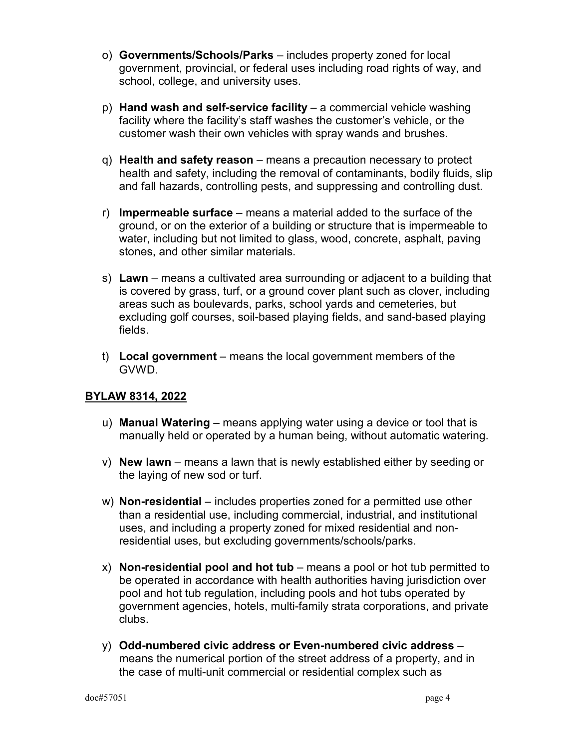- o) **Governments/Schools/Parks** includes property zoned for local government, provincial, or federal uses including road rights of way, and school, college, and university uses.
- p) **Hand wash and self-service facility** a commercial vehicle washing facility where the facility's staff washes the customer's vehicle, or the customer wash their own vehicles with spray wands and brushes.
- q) **Health and safety reason** means a precaution necessary to protect health and safety, including the removal of contaminants, bodily fluids, slip and fall hazards, controlling pests, and suppressing and controlling dust.
- r) **Impermeable surface** means a material added to the surface of the ground, or on the exterior of a building or structure that is impermeable to water, including but not limited to glass, wood, concrete, asphalt, paving stones, and other similar materials.
- s) **Lawn** means a cultivated area surrounding or adjacent to a building that is covered by grass, turf, or a ground cover plant such as clover, including areas such as boulevards, parks, school yards and cemeteries, but excluding golf courses, soil-based playing fields, and sand-based playing fields.
- t) **Local government** means the local government members of the GVWD.

## **BYLAW 8314, 2022**

- u) **Manual Watering** means applying water using a device or tool that is manually held or operated by a human being, without automatic watering.
- v) **New lawn** means a lawn that is newly established either by seeding or the laying of new sod or turf.
- w) **Non-residential** includes properties zoned for a permitted use other than a residential use, including commercial, industrial, and institutional uses, and including a property zoned for mixed residential and nonresidential uses, but excluding governments/schools/parks.
- x) **Non-residential pool and hot tub** means a pool or hot tub permitted to be operated in accordance with health authorities having jurisdiction over pool and hot tub regulation, including pools and hot tubs operated by government agencies, hotels, multi-family strata corporations, and private clubs.
- y) **Odd-numbered civic address or Even-numbered civic address** means the numerical portion of the street address of a property, and in the case of multi-unit commercial or residential complex such as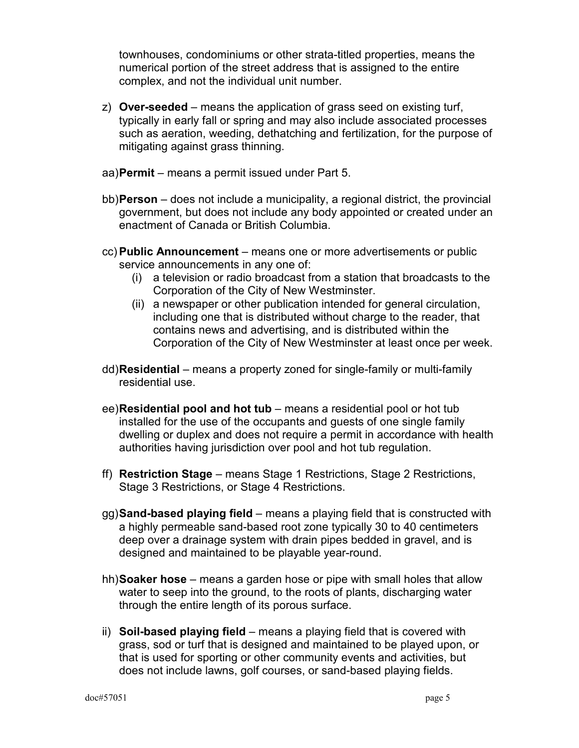townhouses, condominiums or other strata-titled properties, means the numerical portion of the street address that is assigned to the entire complex, and not the individual unit number.

- z) **Over-seeded** means the application of grass seed on existing turf, typically in early fall or spring and may also include associated processes such as aeration, weeding, dethatching and fertilization, for the purpose of mitigating against grass thinning.
- aa)**Permit** means a permit issued under Part 5.
- bb)**Person** does not include a municipality, a regional district, the provincial government, but does not include any body appointed or created under an enactment of Canada or British Columbia.
- cc) **Public Announcement** means one or more advertisements or public service announcements in any one of:
	- (i) a television or radio broadcast from a station that broadcasts to the Corporation of the City of New Westminster.
	- (ii) a newspaper or other publication intended for general circulation, including one that is distributed without charge to the reader, that contains news and advertising, and is distributed within the Corporation of the City of New Westminster at least once per week.
- dd)**Residential** means a property zoned for single-family or multi-family residential use.
- ee)**Residential pool and hot tub** means a residential pool or hot tub installed for the use of the occupants and guests of one single family dwelling or duplex and does not require a permit in accordance with health authorities having jurisdiction over pool and hot tub regulation.
- ff) **Restriction Stage** means Stage 1 Restrictions, Stage 2 Restrictions, Stage 3 Restrictions, or Stage 4 Restrictions.
- gg)**Sand-based playing field** means a playing field that is constructed with a highly permeable sand-based root zone typically 30 to 40 centimeters deep over a drainage system with drain pipes bedded in gravel, and is designed and maintained to be playable year-round.
- hh)**Soaker hose** means a garden hose or pipe with small holes that allow water to seep into the ground, to the roots of plants, discharging water through the entire length of its porous surface.
- ii) **Soil-based playing field** means a playing field that is covered with grass, sod or turf that is designed and maintained to be played upon, or that is used for sporting or other community events and activities, but does not include lawns, golf courses, or sand-based playing fields.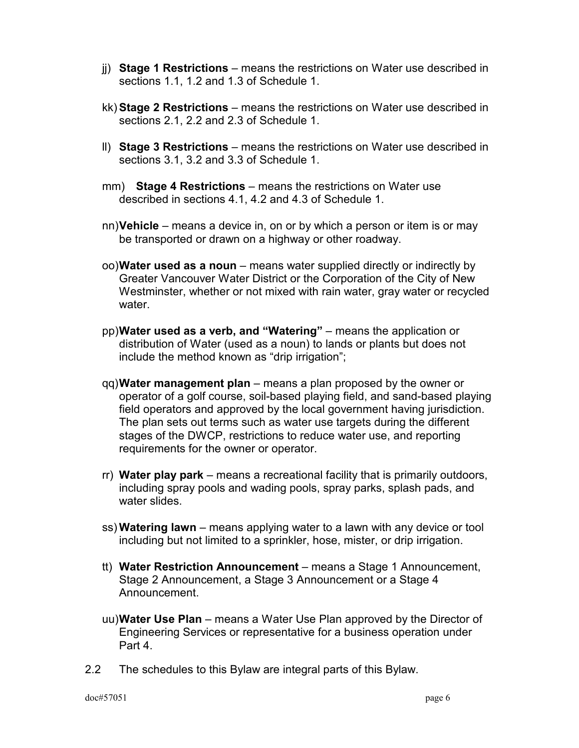- jj) **Stage 1 Restrictions** means the restrictions on Water use described in sections 1.1, 1.2 and 1.3 of Schedule 1.
- kk) **Stage 2 Restrictions** means the restrictions on Water use described in sections 2.1, 2.2 and 2.3 of Schedule 1.
- ll) **Stage 3 Restrictions** means the restrictions on Water use described in sections 3.1, 3.2 and 3.3 of Schedule 1.
- mm) **Stage 4 Restrictions** means the restrictions on Water use described in sections 4.1, 4.2 and 4.3 of Schedule 1.
- nn)**Vehicle** means a device in, on or by which a person or item is or may be transported or drawn on a highway or other roadway.
- oo)**Water used as a noun** means water supplied directly or indirectly by Greater Vancouver Water District or the Corporation of the City of New Westminster, whether or not mixed with rain water, gray water or recycled water
- pp)**Water used as a verb, and "Watering"** means the application or distribution of Water (used as a noun) to lands or plants but does not include the method known as "drip irrigation";
- qq)**Water management plan** means a plan proposed by the owner or operator of a golf course, soil-based playing field, and sand-based playing field operators and approved by the local government having jurisdiction. The plan sets out terms such as water use targets during the different stages of the DWCP, restrictions to reduce water use, and reporting requirements for the owner or operator.
- rr) **Water play park** means a recreational facility that is primarily outdoors, including spray pools and wading pools, spray parks, splash pads, and water slides.
- ss) **Watering lawn** means applying water to a lawn with any device or tool including but not limited to a sprinkler, hose, mister, or drip irrigation.
- tt) **Water Restriction Announcement** means a Stage 1 Announcement, Stage 2 Announcement, a Stage 3 Announcement or a Stage 4 Announcement.
- uu)**Water Use Plan**  means a Water Use Plan approved by the Director of Engineering Services or representative for a business operation under Part 4.
- 2.2 The schedules to this Bylaw are integral parts of this Bylaw.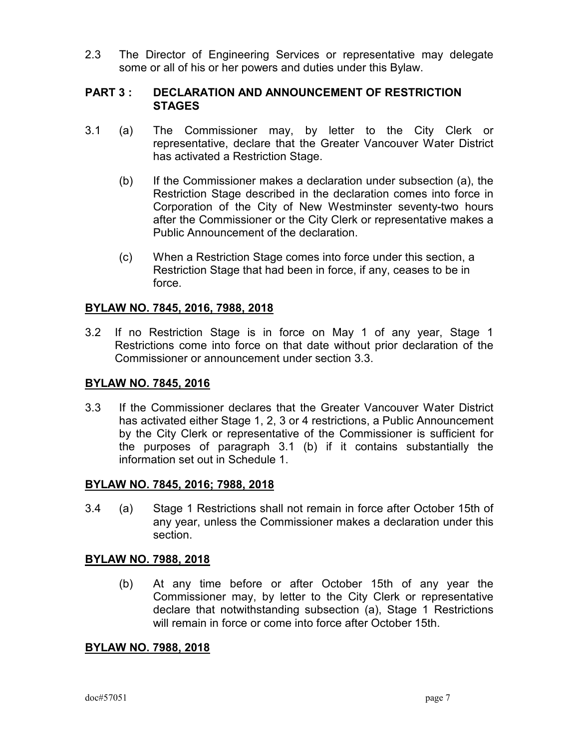2.3 The Director of Engineering Services or representative may delegate some or all of his or her powers and duties under this Bylaw.

### **PART 3 : DECLARATION AND ANNOUNCEMENT OF RESTRICTION STAGES**

- 3.1 (a) The Commissioner may, by letter to the City Clerk or representative, declare that the Greater Vancouver Water District has activated a Restriction Stage.
	- (b) If the Commissioner makes a declaration under subsection (a), the Restriction Stage described in the declaration comes into force in Corporation of the City of New Westminster seventy-two hours after the Commissioner or the City Clerk or representative makes a Public Announcement of the declaration.
	- (c) When a Restriction Stage comes into force under this section, a Restriction Stage that had been in force, if any, ceases to be in force.

### **BYLAW NO. 7845, 2016, 7988, 2018**

3.2 If no Restriction Stage is in force on May 1 of any year, Stage 1 Restrictions come into force on that date without prior declaration of the Commissioner or announcement under section 3.3.

### **BYLAW NO. 7845, 2016**

3.3 If the Commissioner declares that the Greater Vancouver Water District has activated either Stage 1, 2, 3 or 4 restrictions, a Public Announcement by the City Clerk or representative of the Commissioner is sufficient for the purposes of paragraph 3.1 (b) if it contains substantially the information set out in Schedule 1.

### **BYLAW NO. 7845, 2016; 7988, 2018**

3.4 (a) Stage 1 Restrictions shall not remain in force after October 15th of any year, unless the Commissioner makes a declaration under this section.

### **BYLAW NO. 7988, 2018**

(b) At any time before or after October 15th of any year the Commissioner may, by letter to the City Clerk or representative declare that notwithstanding subsection (a), Stage 1 Restrictions will remain in force or come into force after October 15th.

### **BYLAW NO. 7988, 2018**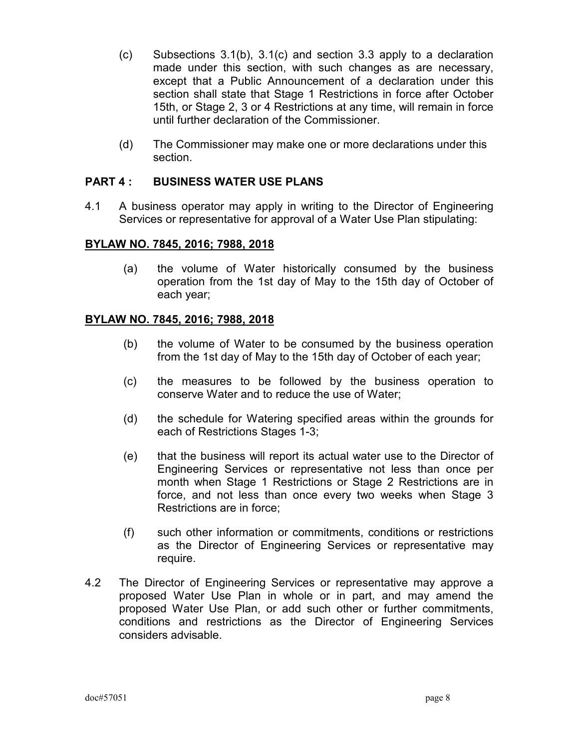- (c) Subsections 3.1(b), 3.1(c) and section 3.3 apply to a declaration made under this section, with such changes as are necessary, except that a Public Announcement of a declaration under this section shall state that Stage 1 Restrictions in force after October 15th, or Stage 2, 3 or 4 Restrictions at any time, will remain in force until further declaration of the Commissioner.
- (d) The Commissioner may make one or more declarations under this section.

### **PART 4 : BUSINESS WATER USE PLANS**

4.1 A business operator may apply in writing to the Director of Engineering Services or representative for approval of a Water Use Plan stipulating:

### **BYLAW NO. 7845, 2016; 7988, 2018**

(a) the volume of Water historically consumed by the business operation from the 1st day of May to the 15th day of October of each year;

### **BYLAW NO. 7845, 2016; 7988, 2018**

- (b) the volume of Water to be consumed by the business operation from the 1st day of May to the 15th day of October of each year;
- (c) the measures to be followed by the business operation to conserve Water and to reduce the use of Water;
- (d) the schedule for Watering specified areas within the grounds for each of Restrictions Stages 1-3;
- (e) that the business will report its actual water use to the Director of Engineering Services or representative not less than once per month when Stage 1 Restrictions or Stage 2 Restrictions are in force, and not less than once every two weeks when Stage 3 Restrictions are in force;
- (f) such other information or commitments, conditions or restrictions as the Director of Engineering Services or representative may require.
- 4.2 The Director of Engineering Services or representative may approve a proposed Water Use Plan in whole or in part, and may amend the proposed Water Use Plan, or add such other or further commitments, conditions and restrictions as the Director of Engineering Services considers advisable.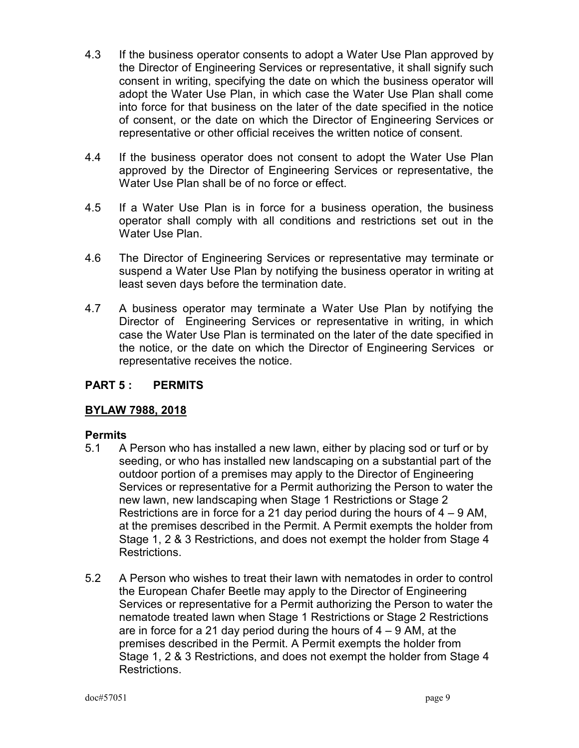- 4.3 If the business operator consents to adopt a Water Use Plan approved by the Director of Engineering Services or representative, it shall signify such consent in writing, specifying the date on which the business operator will adopt the Water Use Plan, in which case the Water Use Plan shall come into force for that business on the later of the date specified in the notice of consent, or the date on which the Director of Engineering Services or representative or other official receives the written notice of consent.
- 4.4 If the business operator does not consent to adopt the Water Use Plan approved by the Director of Engineering Services or representative, the Water Use Plan shall be of no force or effect.
- 4.5 If a Water Use Plan is in force for a business operation, the business operator shall comply with all conditions and restrictions set out in the Water Use Plan.
- 4.6 The Director of Engineering Services or representative may terminate or suspend a Water Use Plan by notifying the business operator in writing at least seven days before the termination date.
- 4.7 A business operator may terminate a Water Use Plan by notifying the Director of Engineering Services or representative in writing, in which case the Water Use Plan is terminated on the later of the date specified in the notice, or the date on which the Director of Engineering Services or representative receives the notice.

## **PART 5 : PERMITS**

### **BYLAW 7988, 2018**

### **Permits**

- 5.1 A Person who has installed a new lawn, either by placing sod or turf or by seeding, or who has installed new landscaping on a substantial part of the outdoor portion of a premises may apply to the Director of Engineering Services or representative for a Permit authorizing the Person to water the new lawn, new landscaping when Stage 1 Restrictions or Stage 2 Restrictions are in force for a 21 day period during the hours of  $4 - 9$  AM, at the premises described in the Permit. A Permit exempts the holder from Stage 1, 2 & 3 Restrictions, and does not exempt the holder from Stage 4 Restrictions.
- 5.2 A Person who wishes to treat their lawn with nematodes in order to control the European Chafer Beetle may apply to the Director of Engineering Services or representative for a Permit authorizing the Person to water the nematode treated lawn when Stage 1 Restrictions or Stage 2 Restrictions are in force for a 21 day period during the hours of  $4 - 9$  AM, at the premises described in the Permit. A Permit exempts the holder from Stage 1, 2 & 3 Restrictions, and does not exempt the holder from Stage 4 Restrictions.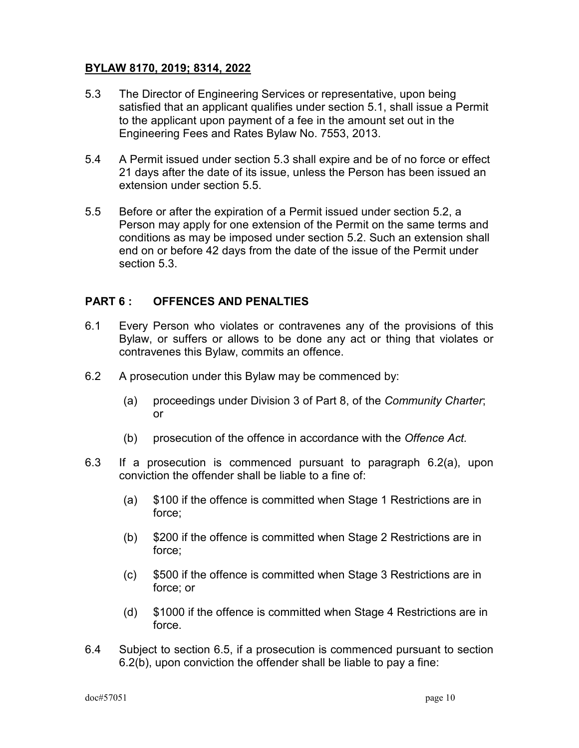### **BYLAW 8170, 2019; 8314, 2022**

- 5.3 The Director of Engineering Services or representative, upon being satisfied that an applicant qualifies under section 5.1, shall issue a Permit to the applicant upon payment of a fee in the amount set out in the Engineering Fees and Rates Bylaw No. 7553, 2013.
- 5.4 A Permit issued under section 5.3 shall expire and be of no force or effect 21 days after the date of its issue, unless the Person has been issued an extension under section 5.5.
- 5.5 Before or after the expiration of a Permit issued under section 5.2, a Person may apply for one extension of the Permit on the same terms and conditions as may be imposed under section 5.2. Such an extension shall end on or before 42 days from the date of the issue of the Permit under section 5.3.

### **PART 6 : OFFENCES AND PENALTIES**

- 6.1 Every Person who violates or contravenes any of the provisions of this Bylaw, or suffers or allows to be done any act or thing that violates or contravenes this Bylaw, commits an offence.
- 6.2 A prosecution under this Bylaw may be commenced by:
	- (a) proceedings under Division 3 of Part 8, of the *Community Charter*; or
	- (b) prosecution of the offence in accordance with the *Offence Act.*
- 6.3 If a prosecution is commenced pursuant to paragraph 6.2(a), upon conviction the offender shall be liable to a fine of:
	- (a) \$100 if the offence is committed when Stage 1 Restrictions are in force;
	- (b) \$200 if the offence is committed when Stage 2 Restrictions are in force;
	- (c) \$500 if the offence is committed when Stage 3 Restrictions are in force; or
	- (d) \$1000 if the offence is committed when Stage 4 Restrictions are in force.
- 6.4 Subject to section 6.5, if a prosecution is commenced pursuant to section 6.2(b), upon conviction the offender shall be liable to pay a fine: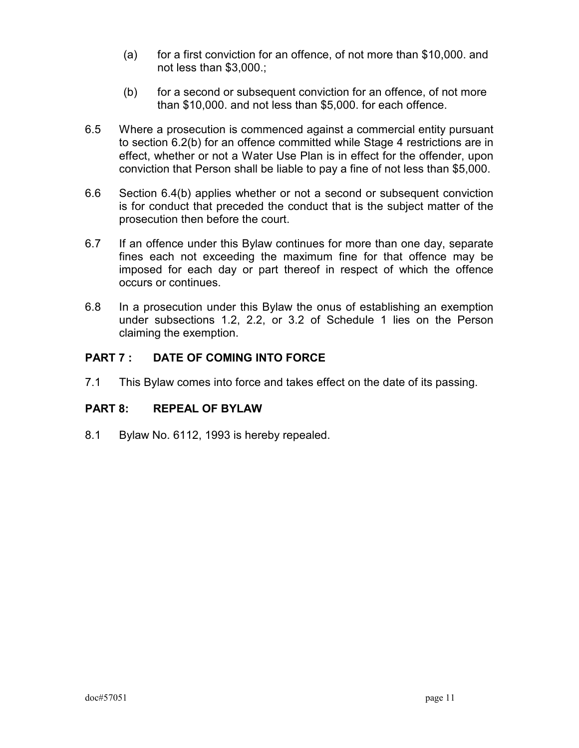- (a) for a first conviction for an offence, of not more than \$10,000. and not less than \$3,000.;
- (b) for a second or subsequent conviction for an offence, of not more than \$10,000. and not less than \$5,000. for each offence.
- 6.5 Where a prosecution is commenced against a commercial entity pursuant to section 6.2(b) for an offence committed while Stage 4 restrictions are in effect, whether or not a Water Use Plan is in effect for the offender, upon conviction that Person shall be liable to pay a fine of not less than \$5,000.
- 6.6 Section 6.4(b) applies whether or not a second or subsequent conviction is for conduct that preceded the conduct that is the subject matter of the prosecution then before the court.
- 6.7 If an offence under this Bylaw continues for more than one day, separate fines each not exceeding the maximum fine for that offence may be imposed for each day or part thereof in respect of which the offence occurs or continues.
- 6.8 In a prosecution under this Bylaw the onus of establishing an exemption under subsections 1.2, 2.2, or 3.2 of Schedule 1 lies on the Person claiming the exemption.

## **PART 7 : DATE OF COMING INTO FORCE**

7.1 This Bylaw comes into force and takes effect on the date of its passing.

## **PART 8: REPEAL OF BYLAW**

8.1 Bylaw No. 6112, 1993 is hereby repealed.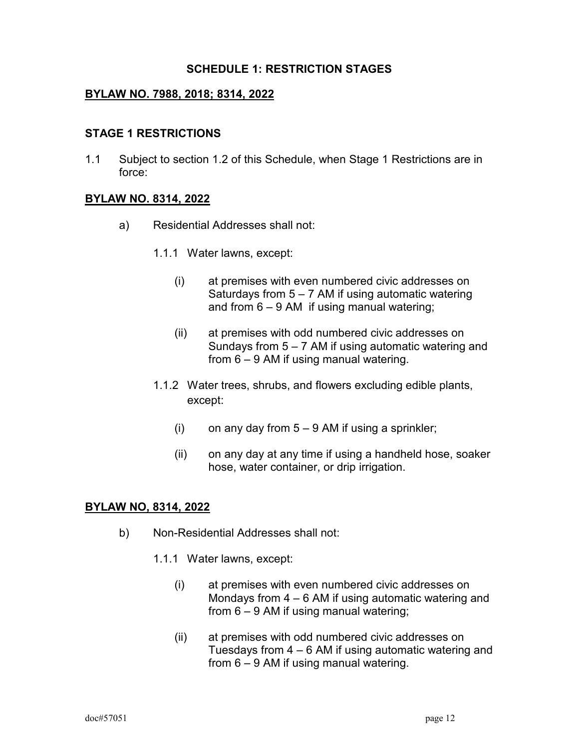### **SCHEDULE 1: RESTRICTION STAGES**

#### **BYLAW NO. 7988, 2018; 8314, 2022**

#### **STAGE 1 RESTRICTIONS**

1.1 Subject to section 1.2 of this Schedule, when Stage 1 Restrictions are in force:

#### **BYLAW NO. 8314, 2022**

- a) Residential Addresses shall not:
	- 1.1.1 Water lawns, except:
		- (i) at premises with even numbered civic addresses on Saturdays from  $5 - 7$  AM if using automatic watering and from  $6 - 9$  AM if using manual watering;
		- (ii) at premises with odd numbered civic addresses on Sundays from  $5 - 7$  AM if using automatic watering and from 6 – 9 AM if using manual watering.
	- 1.1.2 Water trees, shrubs, and flowers excluding edible plants, except:
		- (i) on any day from  $5 9$  AM if using a sprinkler;
		- (ii) on any day at any time if using a handheld hose, soaker hose, water container, or drip irrigation.

#### **BYLAW NO, 8314, 2022**

- b) Non-Residential Addresses shall not:
	- 1.1.1 Water lawns, except:
		- (i) at premises with even numbered civic addresses on Mondays from 4 – 6 AM if using automatic watering and from 6 – 9 AM if using manual watering;
		- (ii) at premises with odd numbered civic addresses on Tuesdays from 4 – 6 AM if using automatic watering and from 6 – 9 AM if using manual watering.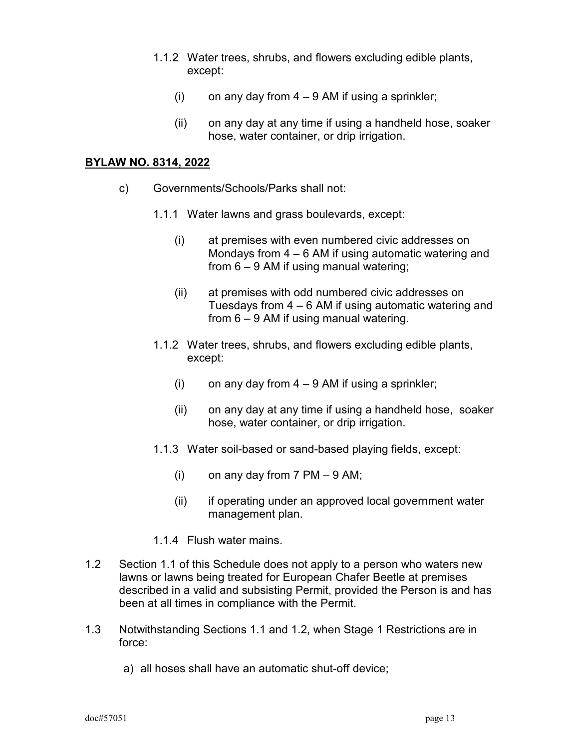- 1.1.2 Water trees, shrubs, and flowers excluding edible plants, except:
	- (i) on any day from  $4 9$  AM if using a sprinkler;
	- (ii) on any day at any time if using a handheld hose, soaker hose, water container, or drip irrigation.

#### **BYLAW NO. 8314, 2022**

- c) Governments/Schools/Parks shall not:
	- 1.1.1 Water lawns and grass boulevards, except:
		- (i) at premises with even numbered civic addresses on Mondays from 4 – 6 AM if using automatic watering and from 6 – 9 AM if using manual watering;
		- (ii) at premises with odd numbered civic addresses on Tuesdays from 4 – 6 AM if using automatic watering and from 6 – 9 AM if using manual watering.
	- 1.1.2 Water trees, shrubs, and flowers excluding edible plants, except:
		- (i) on any day from  $4 9$  AM if using a sprinkler;
		- (ii) on any day at any time if using a handheld hose, soaker hose, water container, or drip irrigation.
	- 1.1.3 Water soil-based or sand-based playing fields, except:
		- (i) on any day from  $7 \text{ PM} 9 \text{ AM}$ ;
		- (ii) if operating under an approved local government water management plan.
	- 1.1.4 Flush water mains.
- 1.2 Section 1.1 of this Schedule does not apply to a person who waters new lawns or lawns being treated for European Chafer Beetle at premises described in a valid and subsisting Permit, provided the Person is and has been at all times in compliance with the Permit.
- 1.3 Notwithstanding Sections 1.1 and 1.2, when Stage 1 Restrictions are in force:
	- a) all hoses shall have an automatic shut-off device;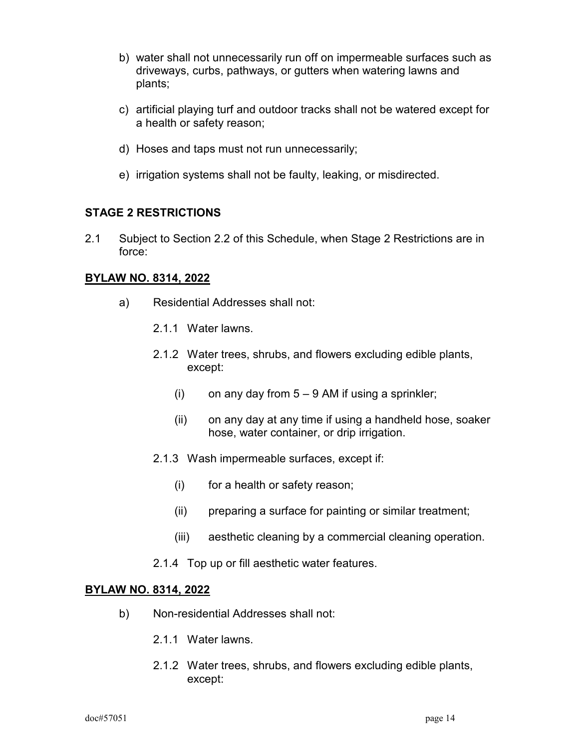- b) water shall not unnecessarily run off on impermeable surfaces such as driveways, curbs, pathways, or gutters when watering lawns and plants;
- c) artificial playing turf and outdoor tracks shall not be watered except for a health or safety reason;
- d) Hoses and taps must not run unnecessarily;
- e) irrigation systems shall not be faulty, leaking, or misdirected.

### **STAGE 2 RESTRICTIONS**

2.1 Subject to Section 2.2 of this Schedule, when Stage 2 Restrictions are in force:

### **BYLAW NO. 8314, 2022**

- a) Residential Addresses shall not:
	- 2.1.1 Water lawns.
	- 2.1.2 Water trees, shrubs, and flowers excluding edible plants, except:
		- (i) on any day from  $5 9$  AM if using a sprinkler;
		- (ii) on any day at any time if using a handheld hose, soaker hose, water container, or drip irrigation.
	- 2.1.3 Wash impermeable surfaces, except if:
		- (i) for a health or safety reason;
		- (ii) preparing a surface for painting or similar treatment;
		- (iii) aesthetic cleaning by a commercial cleaning operation.
	- 2.1.4 Top up or fill aesthetic water features.

#### **BYLAW NO. 8314, 2022**

- b) Non-residential Addresses shall not:
	- 2.1.1 Water lawns.
	- 2.1.2 Water trees, shrubs, and flowers excluding edible plants, except: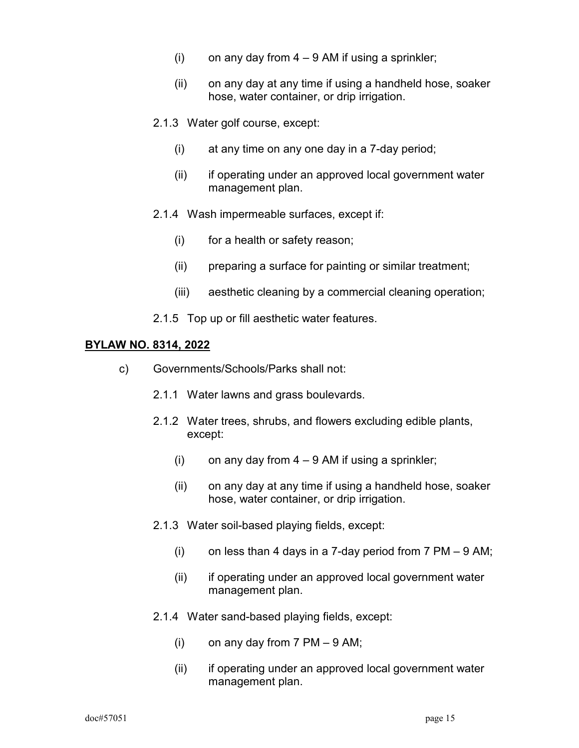- (i) on any day from  $4 9$  AM if using a sprinkler;
- (ii) on any day at any time if using a handheld hose, soaker hose, water container, or drip irrigation.
- 2.1.3 Water golf course, except:
	- (i) at any time on any one day in a 7-day period;
	- (ii) if operating under an approved local government water management plan.
- 2.1.4 Wash impermeable surfaces, except if:
	- (i) for a health or safety reason;
	- (ii) preparing a surface for painting or similar treatment;
	- (iii) aesthetic cleaning by a commercial cleaning operation;
- 2.1.5 Top up or fill aesthetic water features.

#### **BYLAW NO. 8314, 2022**

- c) Governments/Schools/Parks shall not:
	- 2.1.1 Water lawns and grass boulevards.
	- 2.1.2 Water trees, shrubs, and flowers excluding edible plants, except:
		- (i) on any day from  $4 9$  AM if using a sprinkler;
		- (ii) on any day at any time if using a handheld hose, soaker hose, water container, or drip irrigation.
	- 2.1.3 Water soil-based playing fields, except:
		- (i) on less than 4 days in a 7-day period from  $7 \text{ PM} 9 \text{ AM}$ ;
		- (ii) if operating under an approved local government water management plan.
	- 2.1.4 Water sand-based playing fields, except:
		- $(i)$  on any day from 7 PM  $-$  9 AM;
		- (ii) if operating under an approved local government water management plan.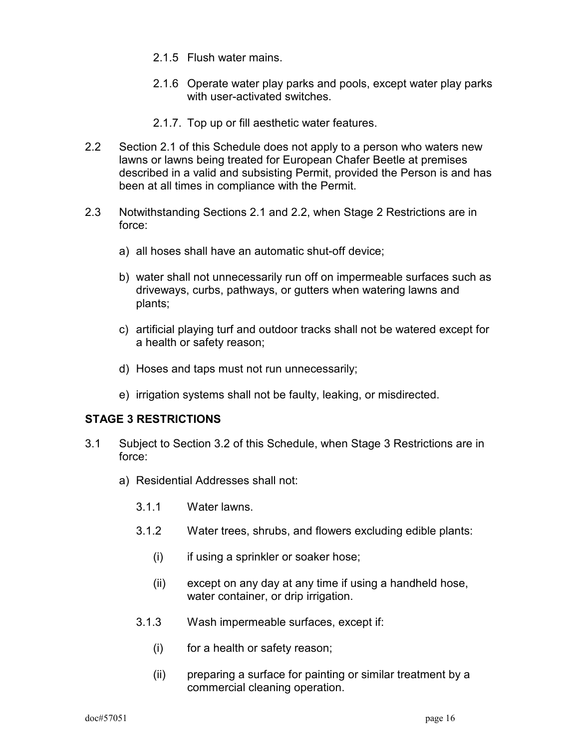- 2.1.5 Flush water mains.
- 2.1.6 Operate water play parks and pools, except water play parks with user-activated switches.
- 2.1.7. Top up or fill aesthetic water features.
- 2.2 Section 2.1 of this Schedule does not apply to a person who waters new lawns or lawns being treated for European Chafer Beetle at premises described in a valid and subsisting Permit, provided the Person is and has been at all times in compliance with the Permit.
- 2.3 Notwithstanding Sections 2.1 and 2.2, when Stage 2 Restrictions are in force:
	- a) all hoses shall have an automatic shut-off device;
	- b) water shall not unnecessarily run off on impermeable surfaces such as driveways, curbs, pathways, or gutters when watering lawns and plants;
	- c) artificial playing turf and outdoor tracks shall not be watered except for a health or safety reason;
	- d) Hoses and taps must not run unnecessarily;
	- e) irrigation systems shall not be faulty, leaking, or misdirected.

### **STAGE 3 RESTRICTIONS**

- 3.1 Subject to Section 3.2 of this Schedule, when Stage 3 Restrictions are in force:
	- a) Residential Addresses shall not:
		- 3.1.1 Water lawns.
		- 3.1.2 Water trees, shrubs, and flowers excluding edible plants:
			- (i) if using a sprinkler or soaker hose;
			- (ii) except on any day at any time if using a handheld hose, water container, or drip irrigation.
		- 3.1.3 Wash impermeable surfaces, except if:
			- (i) for a health or safety reason;
			- (ii) preparing a surface for painting or similar treatment by a commercial cleaning operation.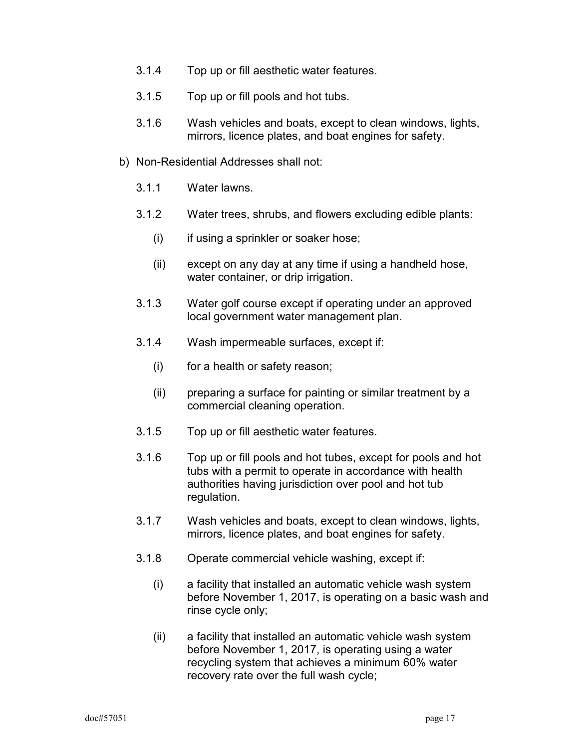- 3.1.4 Top up or fill aesthetic water features.
- 3.1.5 Top up or fill pools and hot tubs.
- 3.1.6 Wash vehicles and boats, except to clean windows, lights, mirrors, licence plates, and boat engines for safety.
- b) Non-Residential Addresses shall not:
	- 3.1.1 Water lawns.
	- 3.1.2 Water trees, shrubs, and flowers excluding edible plants:
		- (i) if using a sprinkler or soaker hose;
		- (ii) except on any day at any time if using a handheld hose, water container, or drip irrigation.
	- 3.1.3 Water golf course except if operating under an approved local government water management plan.
	- 3.1.4 Wash impermeable surfaces, except if:
		- (i) for a health or safety reason;
		- (ii) preparing a surface for painting or similar treatment by a commercial cleaning operation.
	- 3.1.5 Top up or fill aesthetic water features.
	- 3.1.6 Top up or fill pools and hot tubes, except for pools and hot tubs with a permit to operate in accordance with health authorities having jurisdiction over pool and hot tub regulation.
	- 3.1.7 Wash vehicles and boats, except to clean windows, lights, mirrors, licence plates, and boat engines for safety.
	- 3.1.8 Operate commercial vehicle washing, except if:
		- (i) a facility that installed an automatic vehicle wash system before November 1, 2017, is operating on a basic wash and rinse cycle only;
		- (ii) a facility that installed an automatic vehicle wash system before November 1, 2017, is operating using a water recycling system that achieves a minimum 60% water recovery rate over the full wash cycle;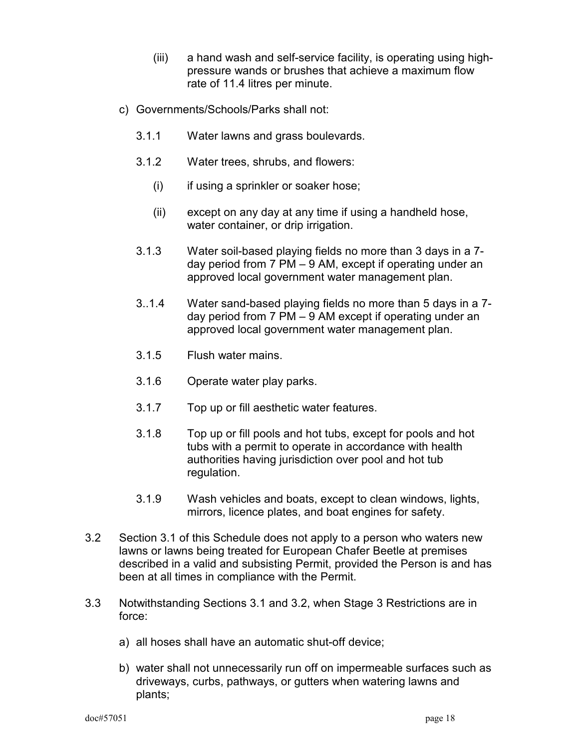- (iii) a hand wash and self-service facility, is operating using highpressure wands or brushes that achieve a maximum flow rate of 11.4 litres per minute.
- c) Governments/Schools/Parks shall not:
	- 3.1.1 Water lawns and grass boulevards.
	- 3.1.2 Water trees, shrubs, and flowers:
		- (i) if using a sprinkler or soaker hose;
		- (ii) except on any day at any time if using a handheld hose, water container, or drip irrigation.
	- 3.1.3 Water soil-based playing fields no more than 3 days in a 7 day period from 7 PM – 9 AM, except if operating under an approved local government water management plan.
	- 3..1.4 Water sand-based playing fields no more than 5 days in a 7 day period from 7 PM – 9 AM except if operating under an approved local government water management plan.
	- 3.1.5 Flush water mains.
	- 3.1.6 Operate water play parks.
	- 3.1.7 Top up or fill aesthetic water features.
	- 3.1.8 Top up or fill pools and hot tubs, except for pools and hot tubs with a permit to operate in accordance with health authorities having jurisdiction over pool and hot tub regulation.
	- 3.1.9 Wash vehicles and boats, except to clean windows, lights, mirrors, licence plates, and boat engines for safety.
- 3.2 Section 3.1 of this Schedule does not apply to a person who waters new lawns or lawns being treated for European Chafer Beetle at premises described in a valid and subsisting Permit, provided the Person is and has been at all times in compliance with the Permit.
- 3.3 Notwithstanding Sections 3.1 and 3.2, when Stage 3 Restrictions are in force:
	- a) all hoses shall have an automatic shut-off device;
	- b) water shall not unnecessarily run off on impermeable surfaces such as driveways, curbs, pathways, or gutters when watering lawns and plants;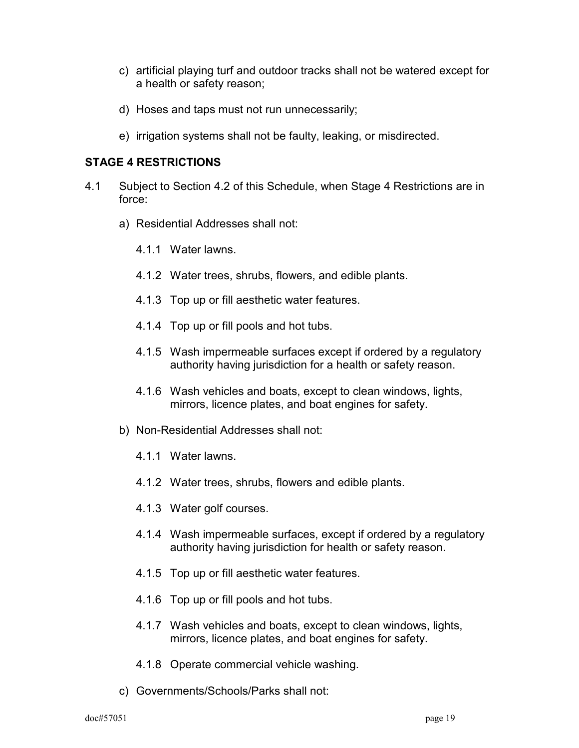- c) artificial playing turf and outdoor tracks shall not be watered except for a health or safety reason;
- d) Hoses and taps must not run unnecessarily;
- e) irrigation systems shall not be faulty, leaking, or misdirected.

### **STAGE 4 RESTRICTIONS**

- 4.1 Subject to Section 4.2 of this Schedule, when Stage 4 Restrictions are in force:
	- a) Residential Addresses shall not:
		- 4.1.1 Water lawns.
		- 4.1.2 Water trees, shrubs, flowers, and edible plants.
		- 4.1.3 Top up or fill aesthetic water features.
		- 4.1.4 Top up or fill pools and hot tubs.
		- 4.1.5 Wash impermeable surfaces except if ordered by a regulatory authority having jurisdiction for a health or safety reason.
		- 4.1.6 Wash vehicles and boats, except to clean windows, lights, mirrors, licence plates, and boat engines for safety.
	- b) Non-Residential Addresses shall not:
		- 4.1.1 Water lawns.
		- 4.1.2 Water trees, shrubs, flowers and edible plants.
		- 4.1.3 Water golf courses.
		- 4.1.4 Wash impermeable surfaces, except if ordered by a regulatory authority having jurisdiction for health or safety reason.
		- 4.1.5 Top up or fill aesthetic water features.
		- 4.1.6 Top up or fill pools and hot tubs.
		- 4.1.7 Wash vehicles and boats, except to clean windows, lights, mirrors, licence plates, and boat engines for safety.
		- 4.1.8 Operate commercial vehicle washing.
	- c) Governments/Schools/Parks shall not: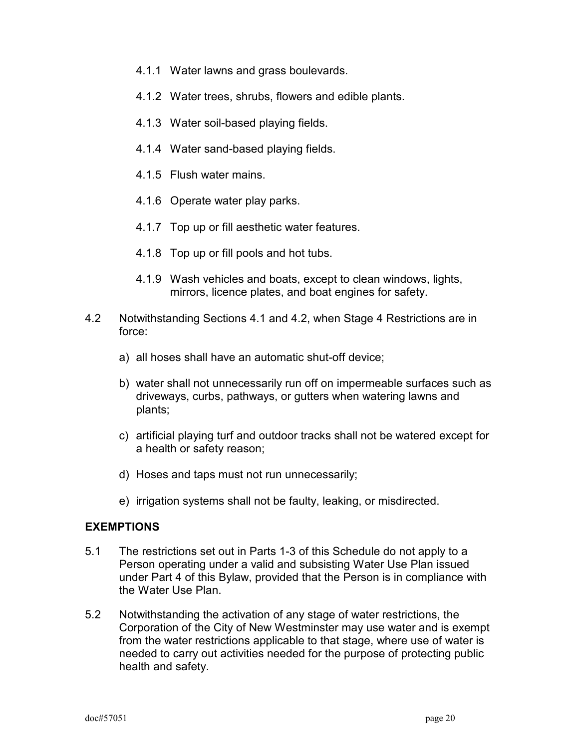- 4.1.1 Water lawns and grass boulevards.
- 4.1.2 Water trees, shrubs, flowers and edible plants.
- 4.1.3 Water soil-based playing fields.
- 4.1.4 Water sand-based playing fields.
- 4.1.5 Flush water mains.
- 4.1.6 Operate water play parks.
- 4.1.7 Top up or fill aesthetic water features.
- 4.1.8 Top up or fill pools and hot tubs.
- 4.1.9 Wash vehicles and boats, except to clean windows, lights, mirrors, licence plates, and boat engines for safety.
- 4.2 Notwithstanding Sections 4.1 and 4.2, when Stage 4 Restrictions are in force:
	- a) all hoses shall have an automatic shut-off device;
	- b) water shall not unnecessarily run off on impermeable surfaces such as driveways, curbs, pathways, or gutters when watering lawns and plants;
	- c) artificial playing turf and outdoor tracks shall not be watered except for a health or safety reason;
	- d) Hoses and taps must not run unnecessarily;
	- e) irrigation systems shall not be faulty, leaking, or misdirected.

### **EXEMPTIONS**

- 5.1 The restrictions set out in Parts 1-3 of this Schedule do not apply to a Person operating under a valid and subsisting Water Use Plan issued under Part 4 of this Bylaw, provided that the Person is in compliance with the Water Use Plan.
- 5.2 Notwithstanding the activation of any stage of water restrictions, the Corporation of the City of New Westminster may use water and is exempt from the water restrictions applicable to that stage, where use of water is needed to carry out activities needed for the purpose of protecting public health and safety.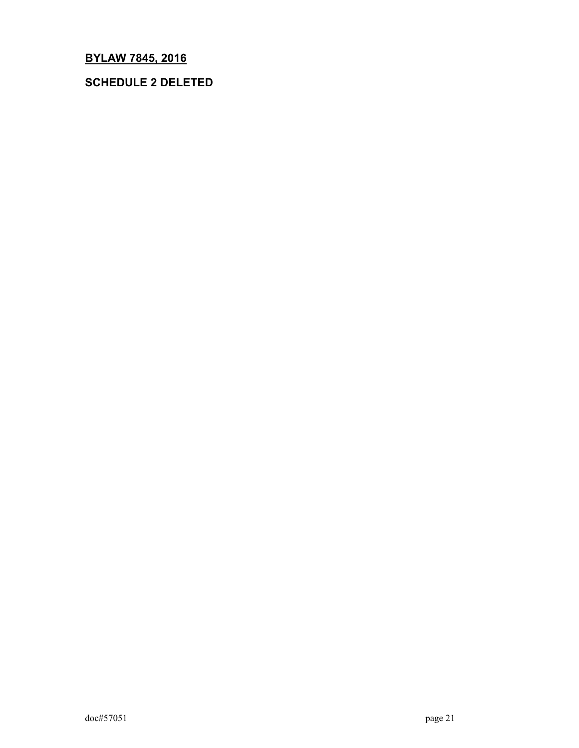# **SCHEDULE 2 DELETED**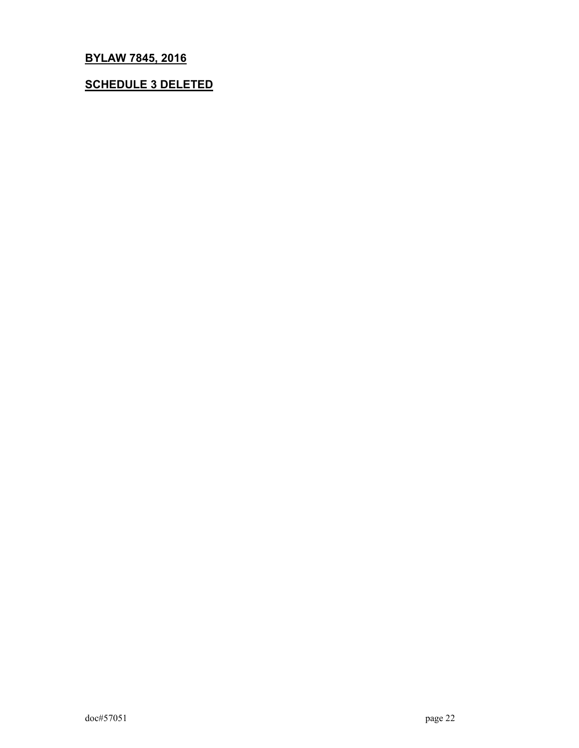## **SCHEDULE 3 DELETED**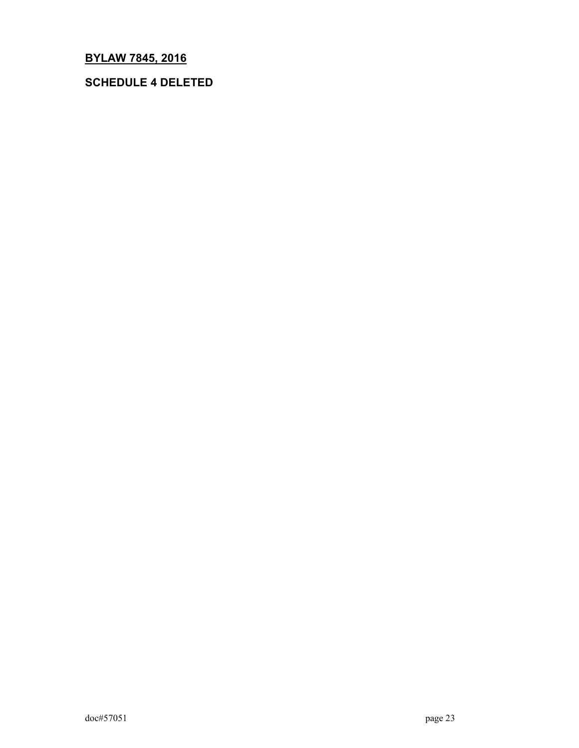# **SCHEDULE 4 DELETED**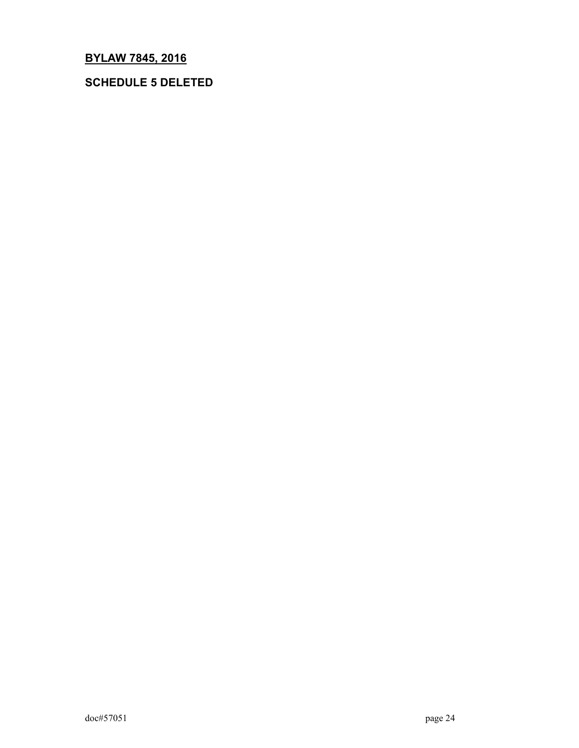# **SCHEDULE 5 DELETED**